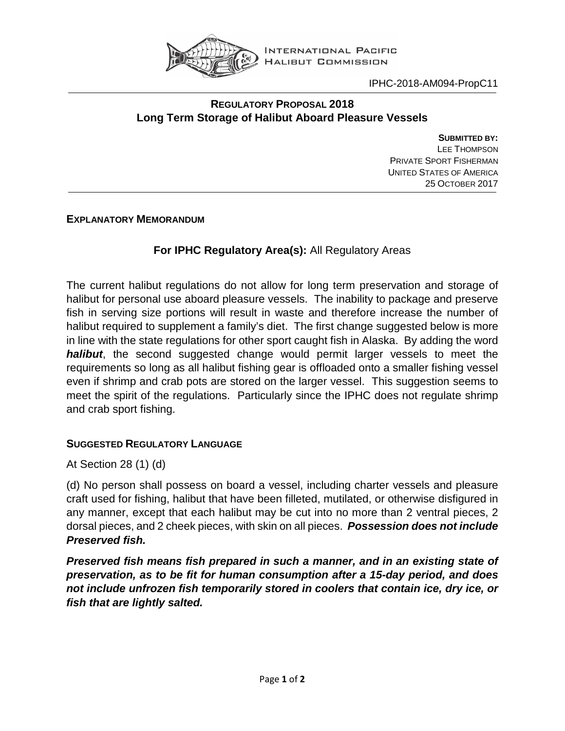

IPHC-2018-AM094-PropC11

## **REGULATORY PROPOSAL 2018 Long Term Storage of Halibut Aboard Pleasure Vessels**

**SUBMITTED BY:** LEE THOMPSON PRIVATE SPORT FISHERMAN UNITED STATES OF AMERICA 25 OCTOBER 2017

**EXPLANATORY MEMORANDUM**

## **For IPHC Regulatory Area(s):** All Regulatory Areas

The current halibut regulations do not allow for long term preservation and storage of halibut for personal use aboard pleasure vessels. The inability to package and preserve fish in serving size portions will result in waste and therefore increase the number of halibut required to supplement a family's diet. The first change suggested below is more in line with the state regulations for other sport caught fish in Alaska. By adding the word *halibut*, the second suggested change would permit larger vessels to meet the requirements so long as all halibut fishing gear is offloaded onto a smaller fishing vessel even if shrimp and crab pots are stored on the larger vessel. This suggestion seems to meet the spirit of the regulations. Particularly since the IPHC does not regulate shrimp and crab sport fishing.

## **SUGGESTED REGULATORY LANGUAGE**

At Section 28 (1) (d)

(d) No person shall possess on board a vessel, including charter vessels and pleasure craft used for fishing, halibut that have been filleted, mutilated, or otherwise disfigured in any manner, except that each halibut may be cut into no more than 2 ventral pieces, 2 dorsal pieces, and 2 cheek pieces, with skin on all pieces. *Possession does not include Preserved fish.*

*Preserved fish means fish prepared in such a manner, and in an existing state of preservation, as to be fit for human consumption after a 15-day period, and does not include unfrozen fish temporarily stored in coolers that contain ice, dry ice, or fish that are lightly salted.*